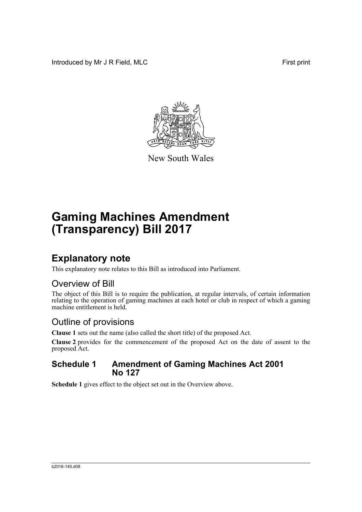Introduced by Mr J R Field, MLC First print



New South Wales

# **Gaming Machines Amendment (Transparency) Bill 2017**

## **Explanatory note**

This explanatory note relates to this Bill as introduced into Parliament.

### Overview of Bill

The object of this Bill is to require the publication, at regular intervals, of certain information relating to the operation of gaming machines at each hotel or club in respect of which a gaming machine entitlement is held.

### Outline of provisions

**Clause 1** sets out the name (also called the short title) of the proposed Act.

**Clause 2** provides for the commencement of the proposed Act on the date of assent to the proposed Act.

### **Schedule 1 Amendment of Gaming Machines Act 2001 No 127**

**Schedule 1** gives effect to the object set out in the Overview above.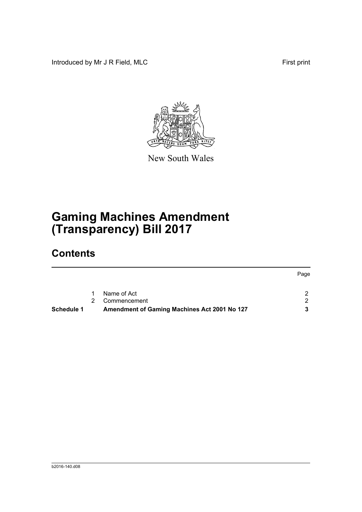Introduced by Mr J R Field, MLC First print



New South Wales

# **Gaming Machines Amendment (Transparency) Bill 2017**

## **Contents**

|                   |                |                                              | Page |
|-------------------|----------------|----------------------------------------------|------|
|                   |                |                                              |      |
|                   | 1              | Name of Act                                  |      |
|                   | $\overline{2}$ | Commencement                                 |      |
| <b>Schedule 1</b> |                | Amendment of Gaming Machines Act 2001 No 127 | 3    |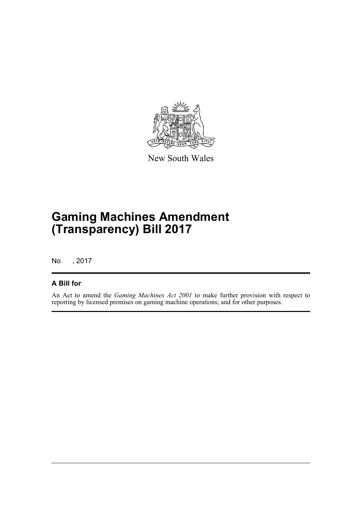

New South Wales

# **Gaming Machines Amendment (Transparency) Bill 2017**

No , 2017

### **A Bill for**

An Act to amend the *Gaming Machines Act 2001* to make further provision with respect to reporting by licensed premises on gaming machine operations; and for other purposes.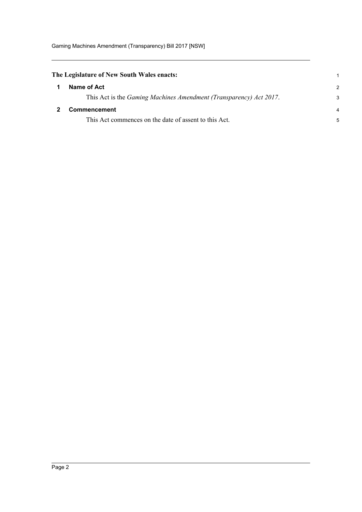<span id="page-3-1"></span><span id="page-3-0"></span>

| The Legislature of New South Wales enacts: |                                                                            |                |
|--------------------------------------------|----------------------------------------------------------------------------|----------------|
|                                            | Name of Act                                                                | $\mathcal{P}$  |
|                                            | This Act is the <i>Gaming Machines Amendment (Transparency) Act 2017</i> . | 3              |
|                                            | <b>Commencement</b>                                                        | $\overline{4}$ |
|                                            | This Act commences on the date of assent to this Act.                      | 5              |